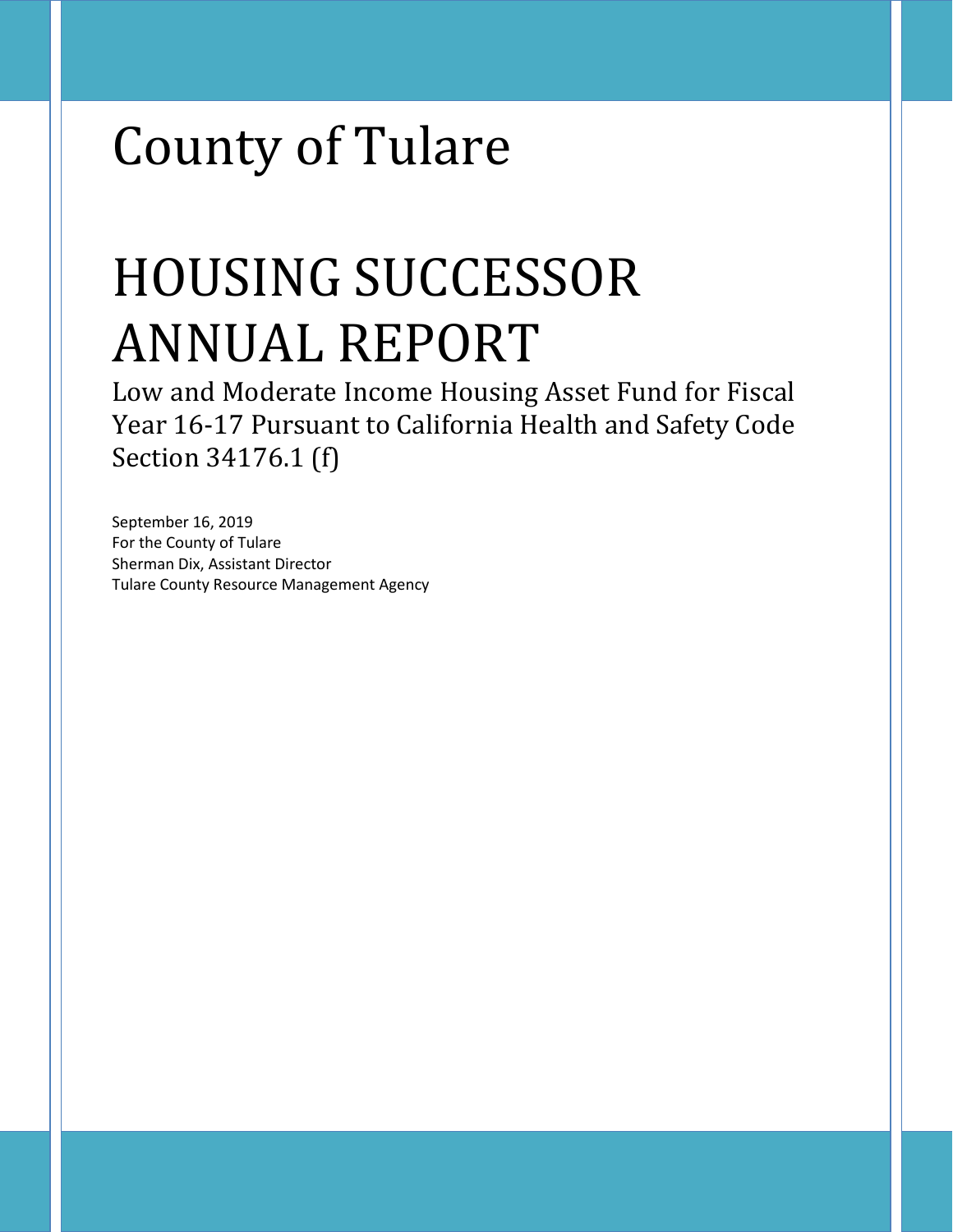# County of Tulare

# HOUSING SUCCESSOR ANNUAL REPORT

Low and Moderate Income Housing Asset Fund for Fiscal Year 16-17 Pursuant to California Health and Safety Code Section 34176.1 (f)

September 16, 2019 For the County of Tulare Sherman Dix, Assistant Director Tulare County Resource Management Agency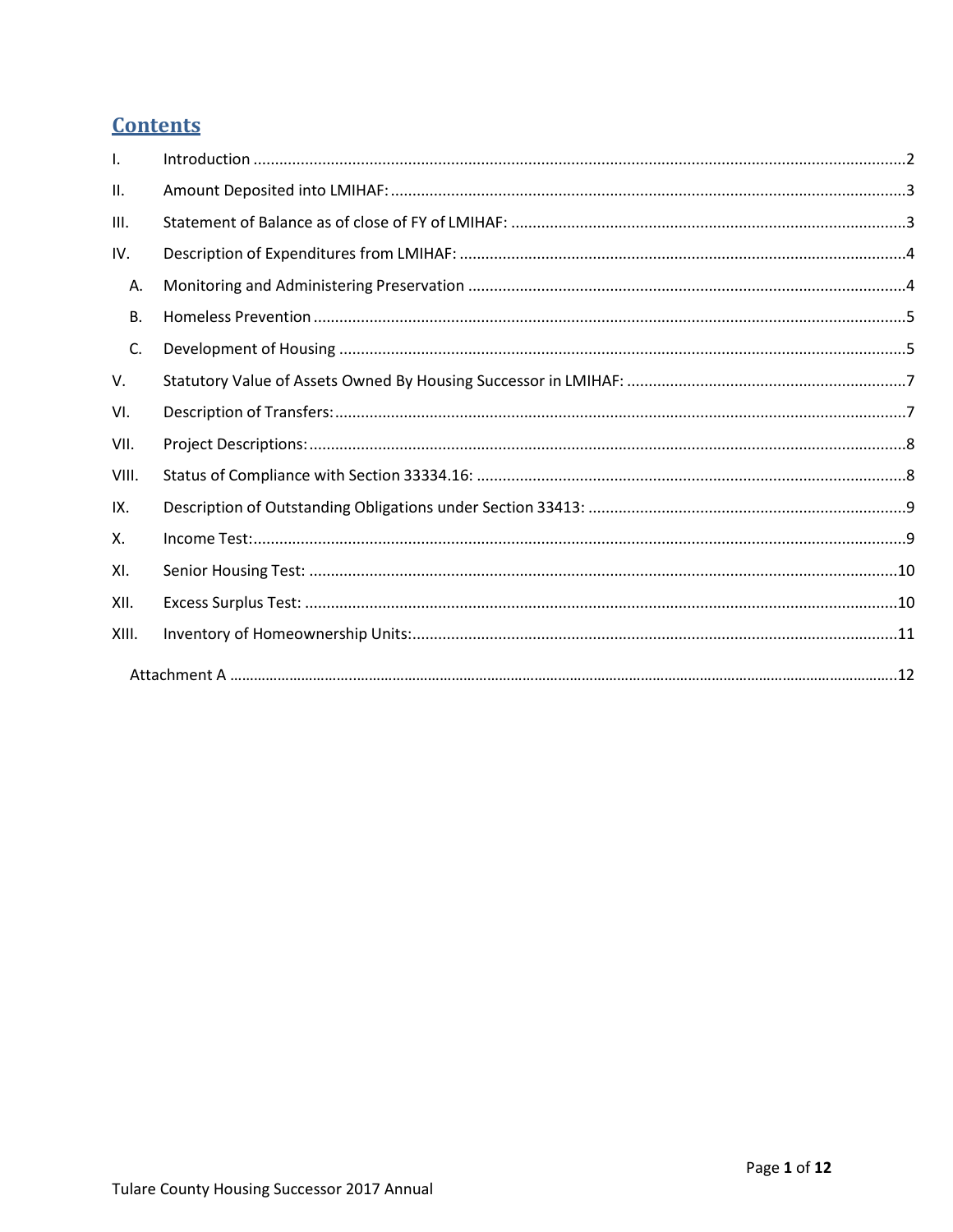## **Contents**

| $\mathbf{I}$ . |  |
|----------------|--|
| II.            |  |
| III.           |  |
| IV.            |  |
| А.             |  |
| <b>B.</b>      |  |
| C.             |  |
| V.             |  |
| VI.            |  |
| VII.           |  |
| VIII.          |  |
| IX.            |  |
| Х.             |  |
| XI.            |  |
| XII.           |  |
| XIII.          |  |
|                |  |
|                |  |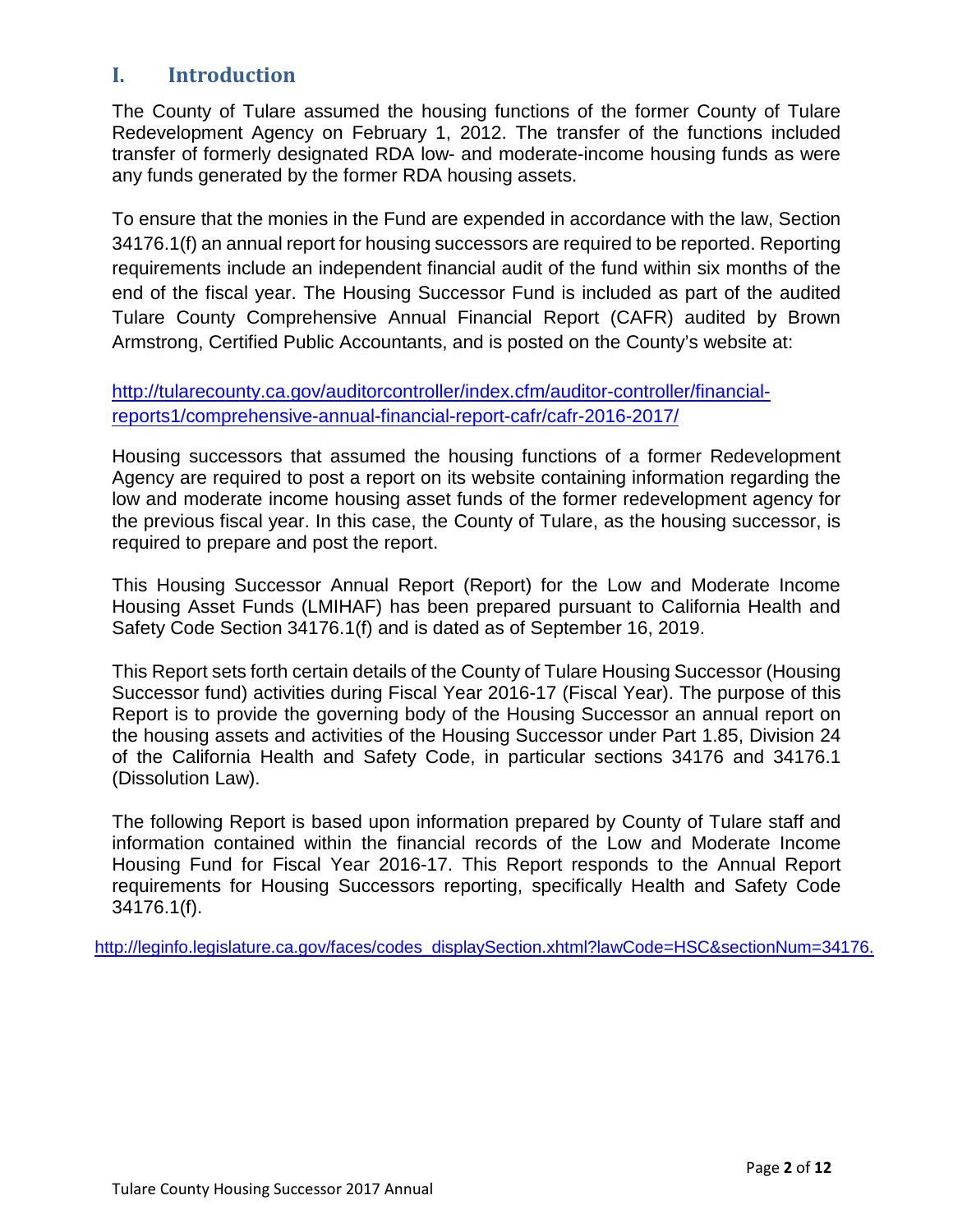## <span id="page-2-0"></span>**I. Introduction**

The County of Tulare assumed the housing functions of the former County of Tulare Redevelopment Agency on February 1, 2012. The transfer of the functions included transfer of formerly designated RDA low- and moderate-income housing funds as were any funds generated by the former RDA housing assets.

To ensure that the monies in the Fund are expended in accordance with the law, Section 34176.1(f) an annual report for housing successors are required to be reported. Reporting requirements include an independent financial audit of the fund within six months of the end of the fiscal year. The Housing Successor Fund is included as part of the audited Tulare County Comprehensive Annual Financial Report (CAFR) audited by Brown Armstrong, Certified Public Accountants, and is posted on the County's website at:

[http://tularecounty.ca.gov/auditorcontroller/index.cfm/auditor-controller/financial](http://tularecounty.ca.gov/auditorcontroller/index.cfm/auditor-controller/financial-reports1/comprehensive-annual-financial-report-cafr/cafr-2016-2017/)[reports1/comprehensive-annual-financial-report-cafr/cafr-2016-2017/](http://tularecounty.ca.gov/auditorcontroller/index.cfm/auditor-controller/financial-reports1/comprehensive-annual-financial-report-cafr/cafr-2016-2017/)

Housing successors that assumed the housing functions of a former Redevelopment Agency are required to post a report on its website containing information regarding the low and moderate income housing asset funds of the former redevelopment agency for the previous fiscal year. In this case, the County of Tulare, as the housing successor, is required to prepare and post the report.

This Housing Successor Annual Report (Report) for the Low and Moderate Income Housing Asset Funds (LMIHAF) has been prepared pursuant to California Health and Safety Code Section 34176.1(f) and is dated as of September 16, 2019.

This Report sets forth certain details of the County of Tulare Housing Successor (Housing Successor fund) activities during Fiscal Year 2016-17 (Fiscal Year). The purpose of this Report is to provide the governing body of the Housing Successor an annual report on the housing assets and activities of the Housing Successor under Part 1.85, Division 24 of the California Health and Safety Code, in particular sections 34176 and 34176.1 (Dissolution Law).

The following Report is based upon information prepared by County of Tulare staff and information contained within the financial records of the Low and Moderate Income Housing Fund for Fiscal Year 2016-17. This Report responds to the Annual Report requirements for Housing Successors reporting, specifically Health and Safety Code 34176.1(f).

[http://leginfo.legislature.ca.gov/faces/codes\\_displaySection.xhtml?lawCode=HSC&sectionNum=34176.](http://leginfo.legislature.ca.gov/faces/codes_displaySection.xhtml?lawCode=HSC§ionNum=34176.)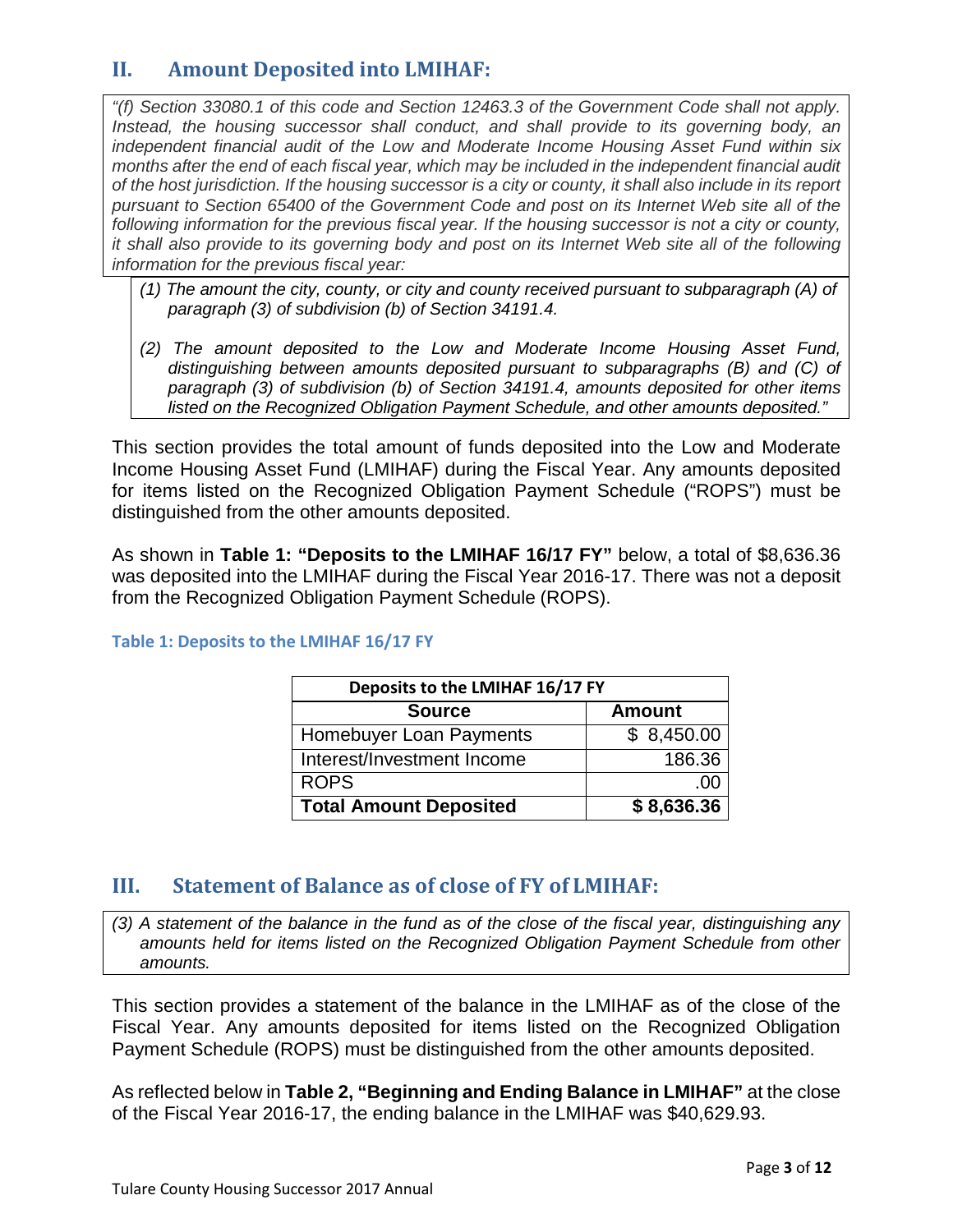## <span id="page-3-0"></span>**II. Amount Deposited into LMIHAF:**

*"(f) Section 33080.1 of this code and Section 12463.3 of the Government Code shall not apply. Instead, the housing successor shall conduct, and shall provide to its governing body, an independent financial audit of the Low and Moderate Income Housing Asset Fund within six months after the end of each fiscal year, which may be included in the independent financial audit of the host jurisdiction. If the housing successor is a city or county, it shall also include in its report pursuant to Section 65400 of the Government Code and post on its Internet Web site all of the following information for the previous fiscal year. If the housing successor is not a city or county, it shall also provide to its governing body and post on its Internet Web site all of the following information for the previous fiscal year:*

- *(1) The amount the city, county, or city and county received pursuant to subparagraph (A) of paragraph (3) of subdivision (b) of Section 34191.4.*
- *(2) The amount deposited to the Low and Moderate Income Housing Asset Fund, distinguishing between amounts deposited pursuant to subparagraphs (B) and (C) of paragraph (3) of subdivision (b) of Section 34191.4, amounts deposited for other items listed on the Recognized Obligation Payment Schedule, and other amounts deposited."*

This section provides the total amount of funds deposited into the Low and Moderate Income Housing Asset Fund (LMIHAF) during the Fiscal Year. Any amounts deposited for items listed on the Recognized Obligation Payment Schedule ("ROPS") must be distinguished from the other amounts deposited.

As shown in **Table 1: "Deposits to the LMIHAF 16/17 FY"** below, a total of \$8,636.36 was deposited into the LMIHAF during the Fiscal Year 2016-17. There was not a deposit from the Recognized Obligation Payment Schedule (ROPS).

| Deposits to the LMIHAF 16/17 FY |               |  |
|---------------------------------|---------------|--|
| <b>Source</b>                   | <b>Amount</b> |  |
| Homebuyer Loan Payments         | \$8,450.00    |  |
| Interest/Investment Income      | 186.36        |  |
| <b>ROPS</b>                     | .00           |  |
| <b>Total Amount Deposited</b>   | \$8,636.36    |  |

#### **Table 1: Deposits to the LMIHAF 16/17 FY**

## <span id="page-3-1"></span>**III. Statement of Balance as of close of FY of LMIHAF:**

*(3) A statement of the balance in the fund as of the close of the fiscal year, distinguishing any amounts held for items listed on the Recognized Obligation Payment Schedule from other amounts.*

This section provides a statement of the balance in the LMIHAF as of the close of the Fiscal Year. Any amounts deposited for items listed on the Recognized Obligation Payment Schedule (ROPS) must be distinguished from the other amounts deposited.

As reflected below in **Table 2, "Beginning and Ending Balance in LMIHAF"** at the close of the Fiscal Year 2016-17, the ending balance in the LMIHAF was \$40,629.93.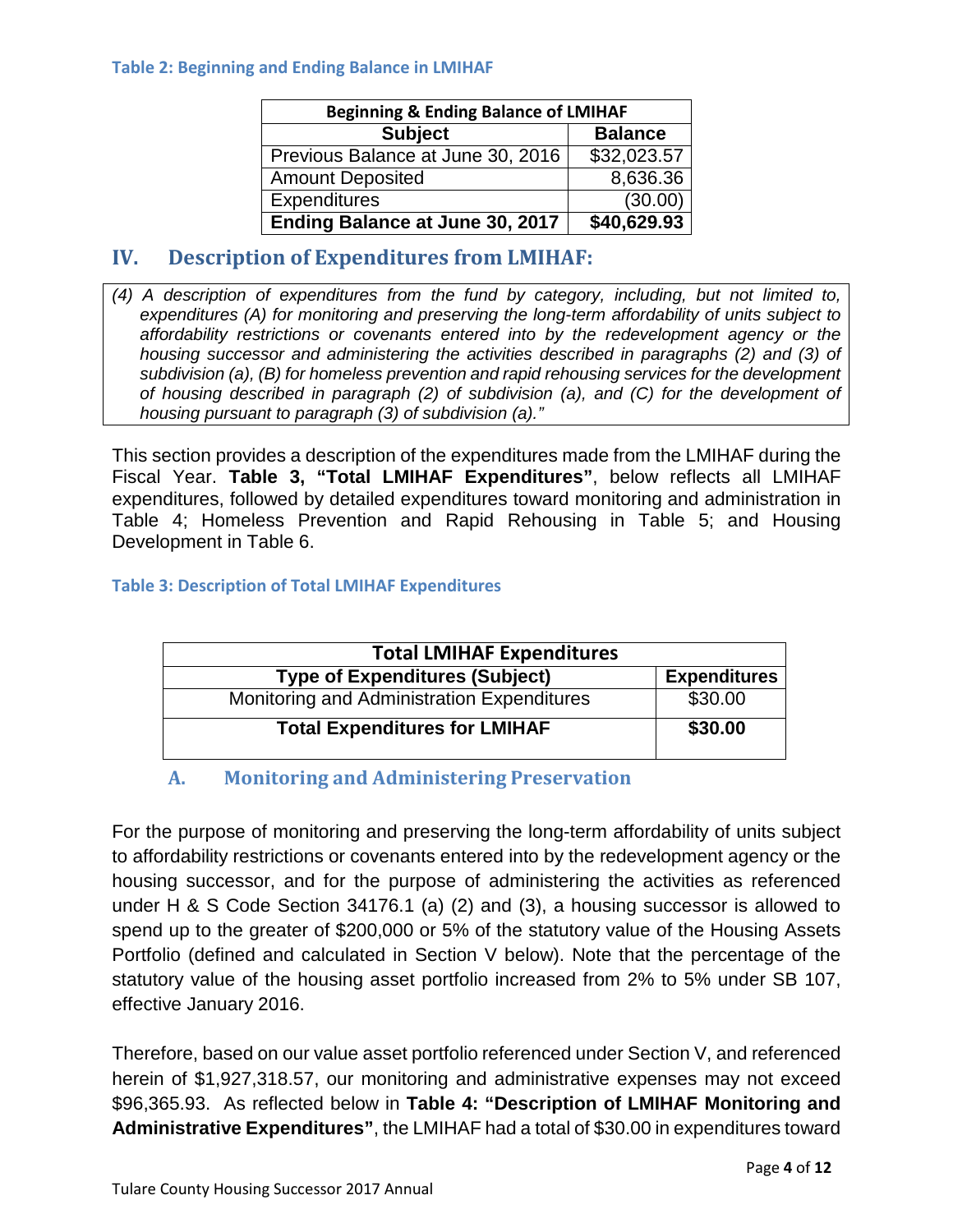#### **Table 2: Beginning and Ending Balance in LMIHAF**

| <b>Beginning &amp; Ending Balance of LMIHAF</b> |                |  |  |
|-------------------------------------------------|----------------|--|--|
| <b>Subject</b>                                  | <b>Balance</b> |  |  |
| Previous Balance at June 30, 2016               | \$32,023.57    |  |  |
| <b>Amount Deposited</b>                         | 8,636.36       |  |  |
| <b>Expenditures</b>                             | (30.00)        |  |  |
| Ending Balance at June 30, 2017                 | \$40,629.93    |  |  |

## <span id="page-4-0"></span>**IV. Description of Expenditures from LMIHAF:**

*(4) A description of expenditures from the fund by category, including, but not limited to, expenditures (A) for monitoring and preserving the long-term affordability of units subject to affordability restrictions or covenants entered into by the redevelopment agency or the housing successor and administering the activities described in paragraphs (2) and (3) of subdivision (a), (B) for homeless prevention and rapid rehousing services for the development of housing described in paragraph (2) of subdivision (a), and (C) for the development of housing pursuant to paragraph (3) of subdivision (a)."*

This section provides a description of the expenditures made from the LMIHAF during the Fiscal Year. **Table 3, "Total LMIHAF Expenditures"**, below reflects all LMIHAF expenditures, followed by detailed expenditures toward monitoring and administration in Table 4; Homeless Prevention and Rapid Rehousing in Table 5; and Housing Development in Table 6.

#### **Table 3: Description of Total LMIHAF Expenditures**

| <b>Total LMIHAF Expenditures</b>           |                     |
|--------------------------------------------|---------------------|
| <b>Type of Expenditures (Subject)</b>      | <b>Expenditures</b> |
| Monitoring and Administration Expenditures | \$30.00             |
| <b>Total Expenditures for LMIHAF</b>       | \$30.00             |

## **A. Monitoring and Administering Preservation**

<span id="page-4-1"></span>For the purpose of monitoring and preserving the long-term affordability of units subject to affordability restrictions or covenants entered into by the redevelopment agency or the housing successor, and for the purpose of administering the activities as referenced under H & S Code Section 34176.1 (a) (2) and (3), a housing successor is allowed to spend up to the greater of \$200,000 or 5% of the statutory value of the Housing Assets Portfolio (defined and calculated in Section V below). Note that the percentage of the statutory value of the housing asset portfolio increased from 2% to 5% under SB 107, effective January 2016.

Therefore, based on our value asset portfolio referenced under Section V, and referenced herein of \$1,927,318.57, our monitoring and administrative expenses may not exceed \$96,365.93. As reflected below in **Table 4: "Description of LMIHAF Monitoring and Administrative Expenditures"**, the LMIHAF had a total of \$30.00 in expenditures toward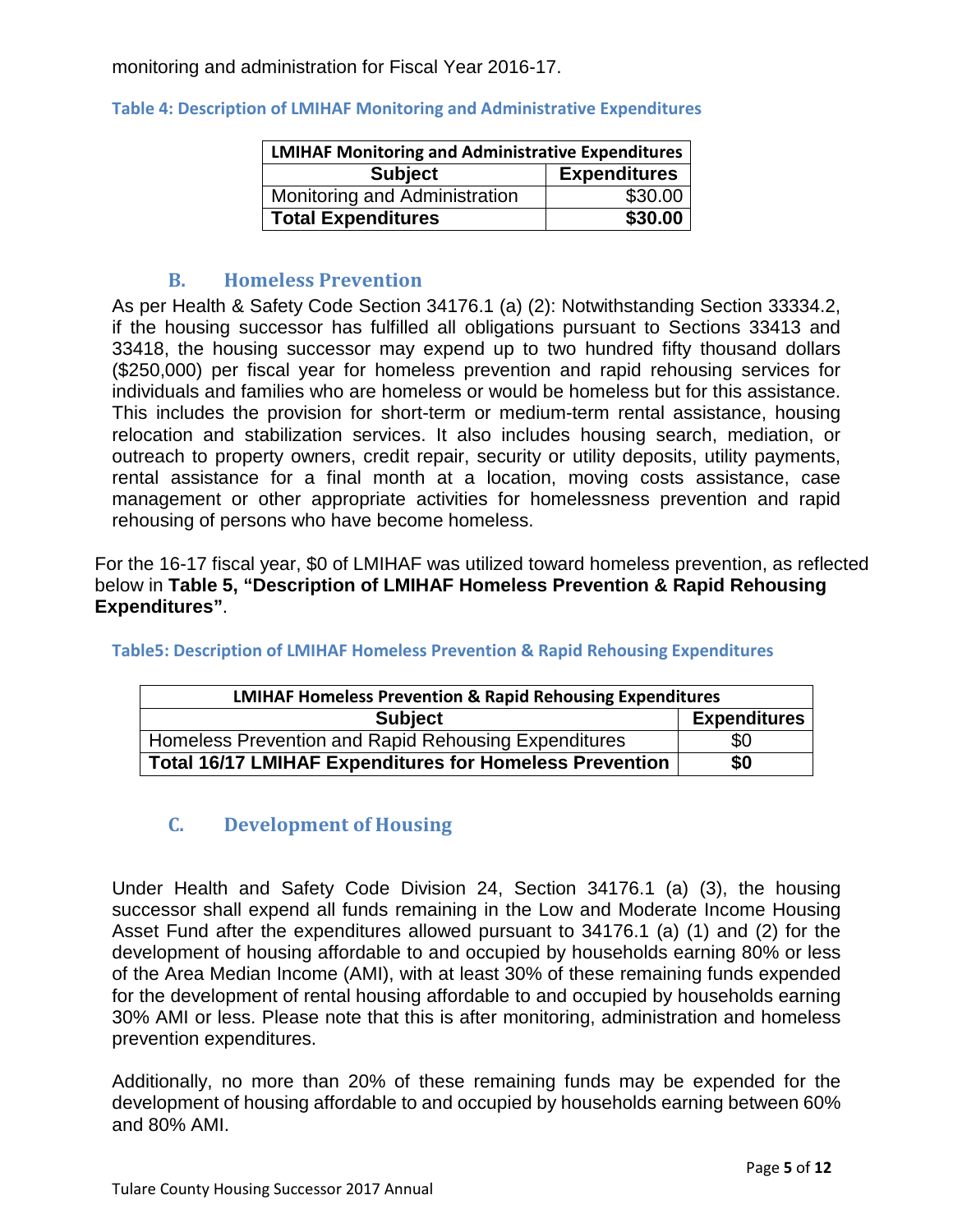monitoring and administration for Fiscal Year 2016-17.

| <b>LMIHAF Monitoring and Administrative Expenditures</b> |                     |  |  |
|----------------------------------------------------------|---------------------|--|--|
| <b>Subject</b>                                           | <b>Expenditures</b> |  |  |
| Monitoring and Administration                            | \$30.00             |  |  |
| <b>Total Expenditures</b>                                | \$30.00             |  |  |

#### **Table 4: Description of LMIHAF Monitoring and Administrative Expenditures**

#### **B. Homeless Prevention**

<span id="page-5-0"></span>As per Health & Safety Code Section 34176.1 (a) (2): Notwithstanding Section 33334.2, if the housing successor has fulfilled all obligations pursuant to Sections 33413 and 33418, the housing successor may expend up to two hundred fifty thousand dollars (\$250,000) per fiscal year for homeless prevention and rapid rehousing services for individuals and families who are homeless or would be homeless but for this assistance. This includes the provision for short-term or medium-term rental assistance, housing relocation and stabilization services. It also includes housing search, mediation, or outreach to property owners, credit repair, security or utility deposits, utility payments, rental assistance for a final month at a location, moving costs assistance, case management or other appropriate activities for homelessness prevention and rapid rehousing of persons who have become homeless.

For the 16-17 fiscal year, \$0 of LMIHAF was utilized toward homeless prevention, as reflected below in **Table 5, "Description of LMIHAF Homeless Prevention & Rapid Rehousing Expenditures"**.

| <b>LMIHAF Homeless Prevention &amp; Rapid Rehousing Expenditures</b> |                     |  |
|----------------------------------------------------------------------|---------------------|--|
| <b>Subject</b>                                                       | <b>Expenditures</b> |  |
| Homeless Prevention and Rapid Rehousing Expenditures                 | \$0                 |  |
| <b>Total 16/17 LMIHAF Expenditures for Homeless Prevention</b>       | \$0                 |  |

#### **Table5: Description of LMIHAF Homeless Prevention & Rapid Rehousing Expenditures**

## <span id="page-5-1"></span>**C. Development of Housing**

Under Health and Safety Code Division 24, Section 34176.1 (a) (3), the housing successor shall expend all funds remaining in the Low and Moderate Income Housing Asset Fund after the expenditures allowed pursuant to 34176.1 (a) (1) and (2) for the development of housing affordable to and occupied by households earning 80% or less of the Area Median Income (AMI), with at least 30% of these remaining funds expended for the development of rental housing affordable to and occupied by households earning 30% AMI or less. Please note that this is after monitoring, administration and homeless prevention expenditures.

Additionally, no more than 20% of these remaining funds may be expended for the development of housing affordable to and occupied by households earning between 60% and 80% AMI.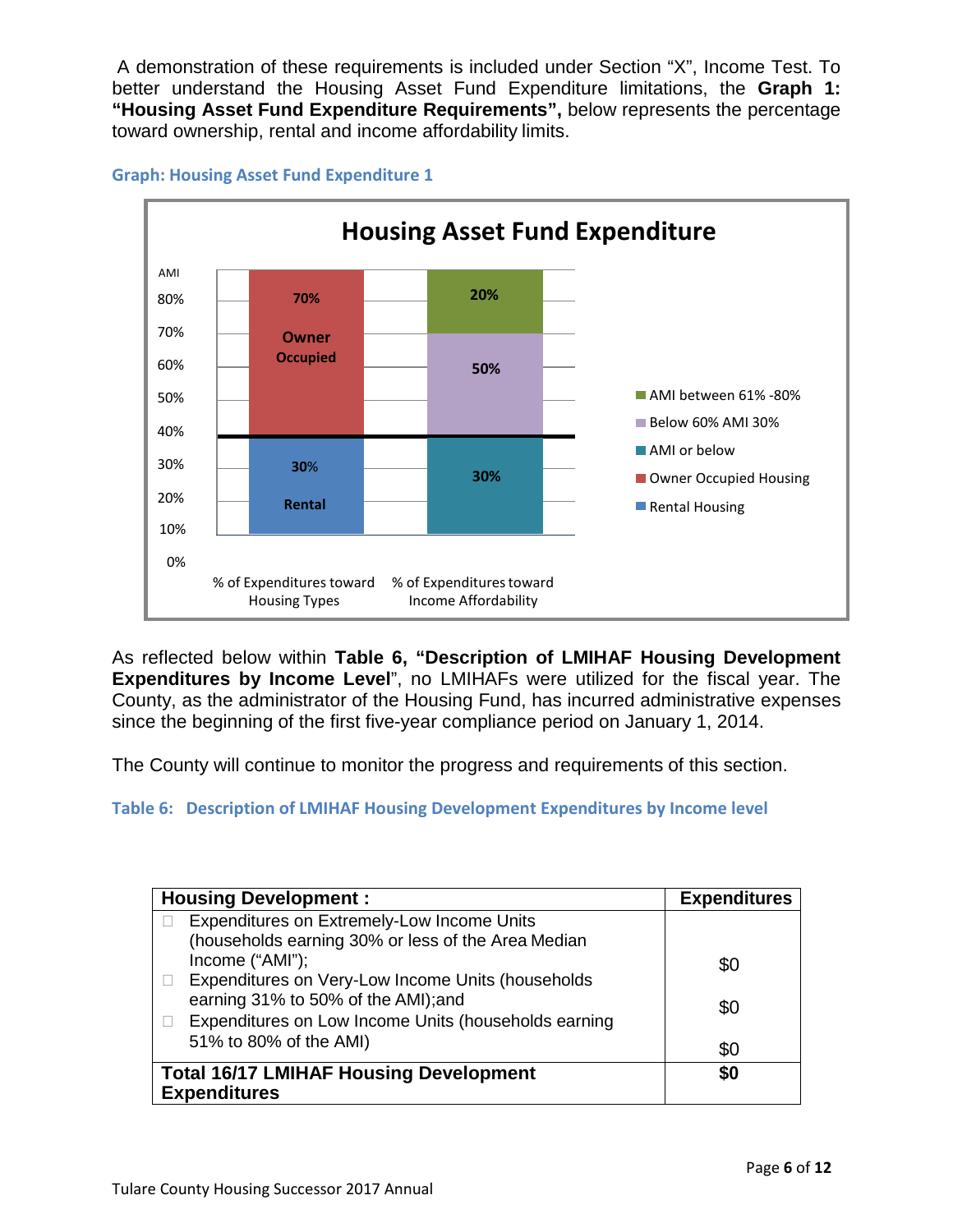A demonstration of these requirements is included under Section "X", Income Test. To better understand the Housing Asset Fund Expenditure limitations, the **Graph 1: "Housing Asset Fund Expenditure Requirements",** below represents the percentage toward ownership, rental and income affordability limits.



#### **Graph: Housing Asset Fund Expenditure 1**

As reflected below within **Table 6, "Description of LMIHAF Housing Development Expenditures by Income Level**", no LMIHAFs were utilized for the fiscal year. The County, as the administrator of the Housing Fund, has incurred administrative expenses since the beginning of the first five-year compliance period on January 1, 2014.

The County will continue to monitor the progress and requirements of this section.

**Table 6: Description of LMIHAF Housing Development Expenditures by Income level**

| <b>Housing Development:</b>                                 | <b>Expenditures</b> |
|-------------------------------------------------------------|---------------------|
| Expenditures on Extremely-Low Income Units                  |                     |
| (households earning 30% or less of the Area Median          |                     |
| Income ("AMI");                                             | \$0                 |
| Expenditures on Very-Low Income Units (households<br>$\Box$ |                     |
| earning 31% to 50% of the AMI);and                          | \$0                 |
| Expenditures on Low Income Units (households earning        |                     |
| 51% to 80% of the AMI)                                      | \$0                 |
| <b>Total 16/17 LMIHAF Housing Development</b>               | \$0                 |
| <b>Expenditures</b>                                         |                     |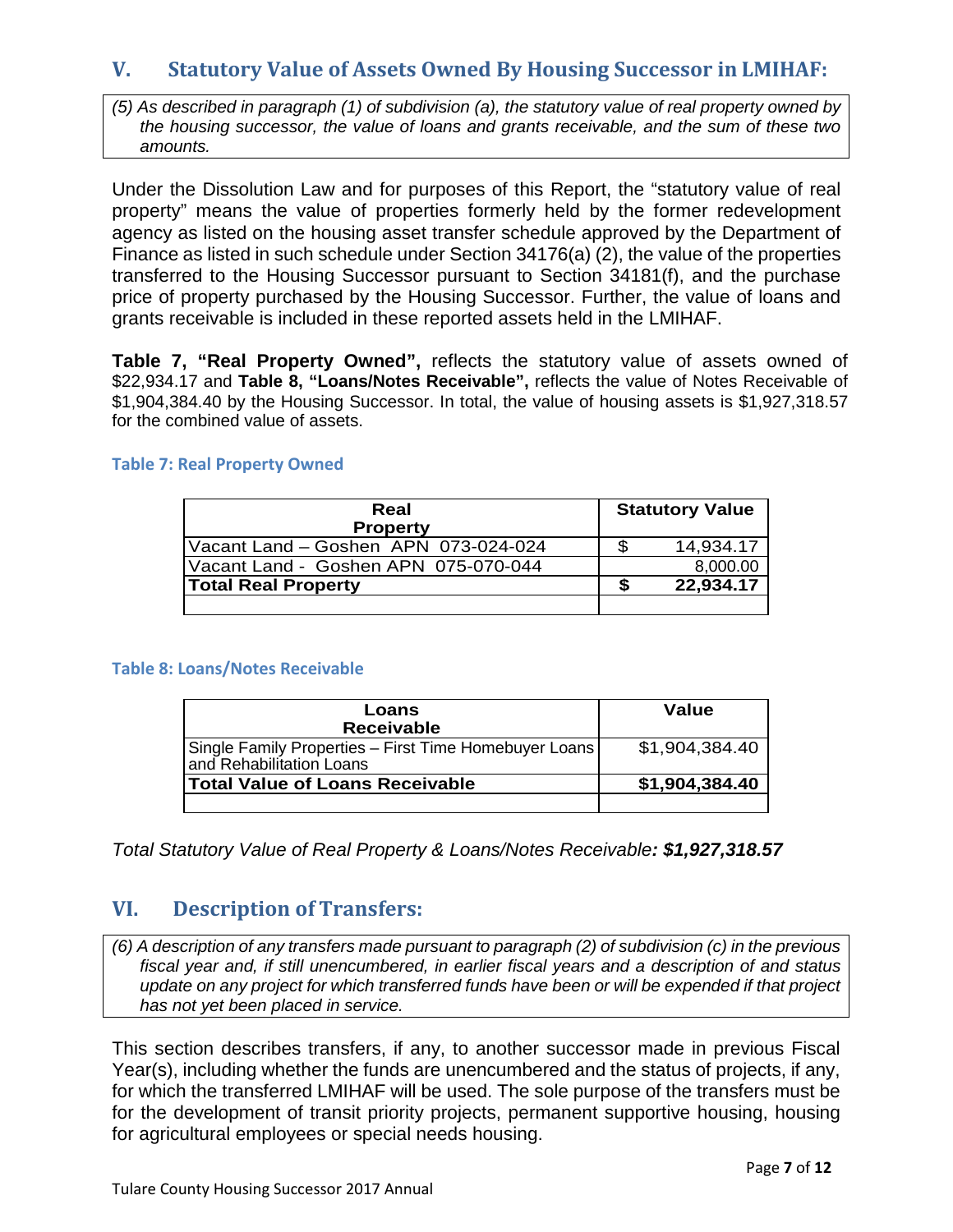## <span id="page-7-0"></span>**V. Statutory Value of Assets Owned By Housing Successor in LMIHAF:**

*(5) As described in paragraph (1) of subdivision (a), the statutory value of real property owned by the housing successor, the value of loans and grants receivable, and the sum of these two amounts.*

Under the Dissolution Law and for purposes of this Report, the "statutory value of real property" means the value of properties formerly held by the former redevelopment agency as listed on the housing asset transfer schedule approved by the Department of Finance as listed in such schedule under Section 34176(a) (2), the value of the properties transferred to the Housing Successor pursuant to Section 34181(f), and the purchase price of property purchased by the Housing Successor. Further, the value of loans and grants receivable is included in these reported assets held in the LMIHAF.

**Table 7, "Real Property Owned",** reflects the statutory value of assets owned of \$22,934.17 and **Table 8, "Loans/Notes Receivable",** reflects the value of Notes Receivable of \$1,904,384.40 by the Housing Successor. In total, the value of housing assets is \$1,927,318.57 for the combined value of assets.

#### **Table 7: Real Property Owned**

| Real<br><b>Property</b>              | <b>Statutory Value</b> |
|--------------------------------------|------------------------|
| Vacant Land - Goshen APN 073-024-024 | 14,934.17              |
| Vacant Land - Goshen APN 075-070-044 | 8,000.00               |
| <b>Total Real Property</b>           | 22,934.17              |
|                                      |                        |

#### **Table 8: Loans/Notes Receivable**

| Loans<br><b>Receivable</b>                                                        | Value          |
|-----------------------------------------------------------------------------------|----------------|
| Single Family Properties – First Time Homebuyer Loans<br>and Rehabilitation Loans | \$1,904,384.40 |
| <b>Total Value of Loans Receivable</b>                                            | \$1,904,384.40 |
|                                                                                   |                |

*Total Statutory Value of Real Property & Loans/Notes Receivable: \$1,927,318.57*

## <span id="page-7-1"></span>**VI. Description of Transfers:**

*(6) A description of any transfers made pursuant to paragraph (2) of subdivision (c) in the previous fiscal year and, if still unencumbered, in earlier fiscal years and a description of and status update on any project for which transferred funds have been or will be expended if that project has not yet been placed in service.*

This section describes transfers, if any, to another successor made in previous Fiscal Year(s), including whether the funds are unencumbered and the status of projects, if any, for which the transferred LMIHAF will be used. The sole purpose of the transfers must be for the development of transit priority projects, permanent supportive housing, housing for agricultural employees or special needs housing.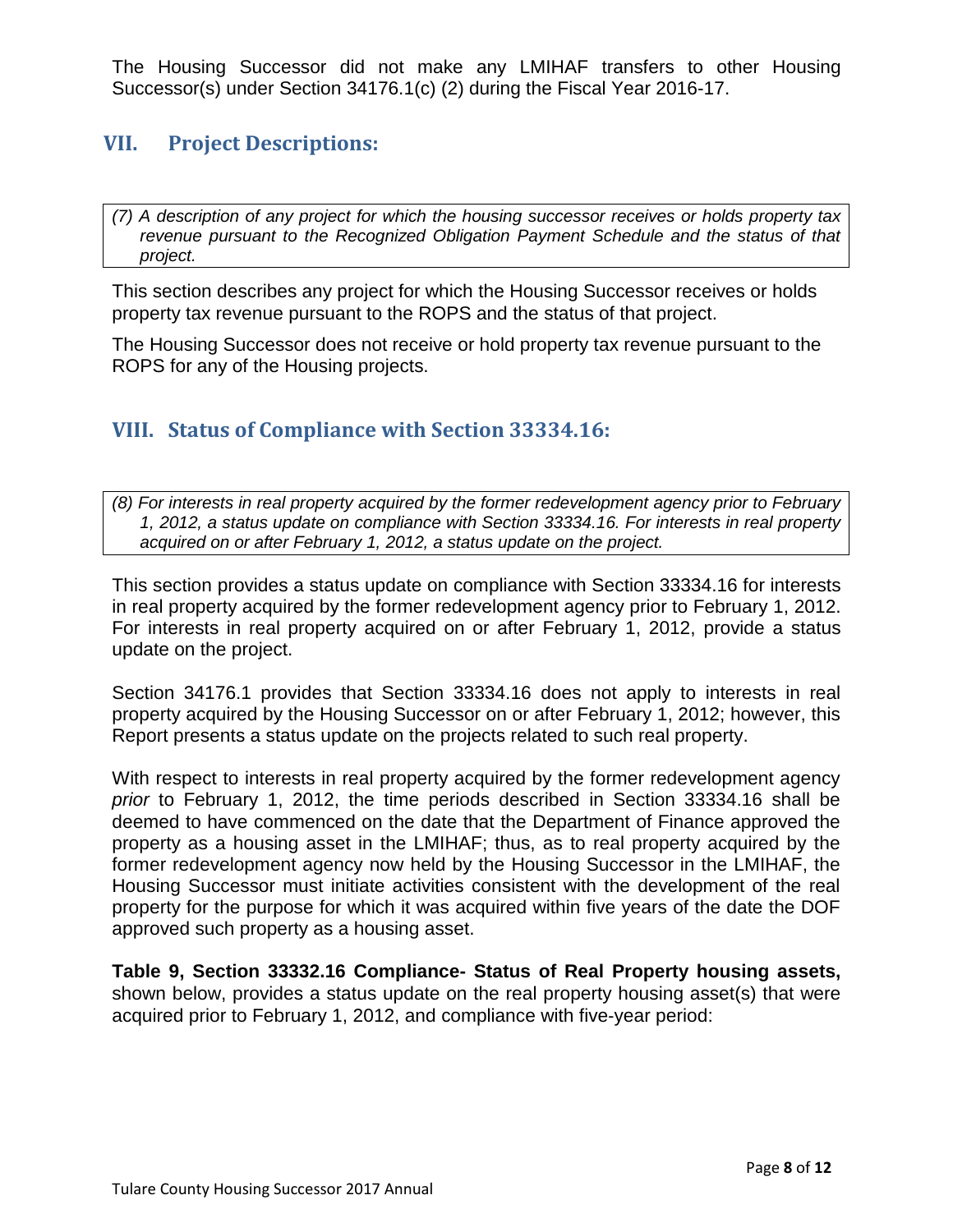The Housing Successor did not make any LMIHAF transfers to other Housing Successor(s) under Section 34176.1(c) (2) during the Fiscal Year 2016-17.

## <span id="page-8-0"></span>**VII. Project Descriptions:**

*(7) A description of any project for which the housing successor receives or holds property tax revenue pursuant to the Recognized Obligation Payment Schedule and the status of that project.*

This section describes any project for which the Housing Successor receives or holds property tax revenue pursuant to the ROPS and the status of that project.

The Housing Successor does not receive or hold property tax revenue pursuant to the ROPS for any of the Housing projects.

## <span id="page-8-1"></span>**VIII. Status of Compliance with Section 33334.16:**

*(8) For interests in real property acquired by the former redevelopment agency prior to February 1, 2012, a status update on compliance with Section 33334.16. For interests in real property acquired on or after February 1, 2012, a status update on the project.*

This section provides a status update on compliance with Section 33334.16 for interests in real property acquired by the former redevelopment agency prior to February 1, 2012. For interests in real property acquired on or after February 1, 2012, provide a status update on the project.

Section 34176.1 provides that Section 33334.16 does not apply to interests in real property acquired by the Housing Successor on or after February 1, 2012; however, this Report presents a status update on the projects related to such real property.

With respect to interests in real property acquired by the former redevelopment agency *prior* to February 1, 2012, the time periods described in Section 33334.16 shall be deemed to have commenced on the date that the Department of Finance approved the property as a housing asset in the LMIHAF; thus, as to real property acquired by the former redevelopment agency now held by the Housing Successor in the LMIHAF, the Housing Successor must initiate activities consistent with the development of the real property for the purpose for which it was acquired within five years of the date the DOF approved such property as a housing asset.

**Table 9, Section 33332.16 Compliance- Status of Real Property housing assets,**  shown below, provides a status update on the real property housing asset(s) that were acquired prior to February 1, 2012, and compliance with five‐year period: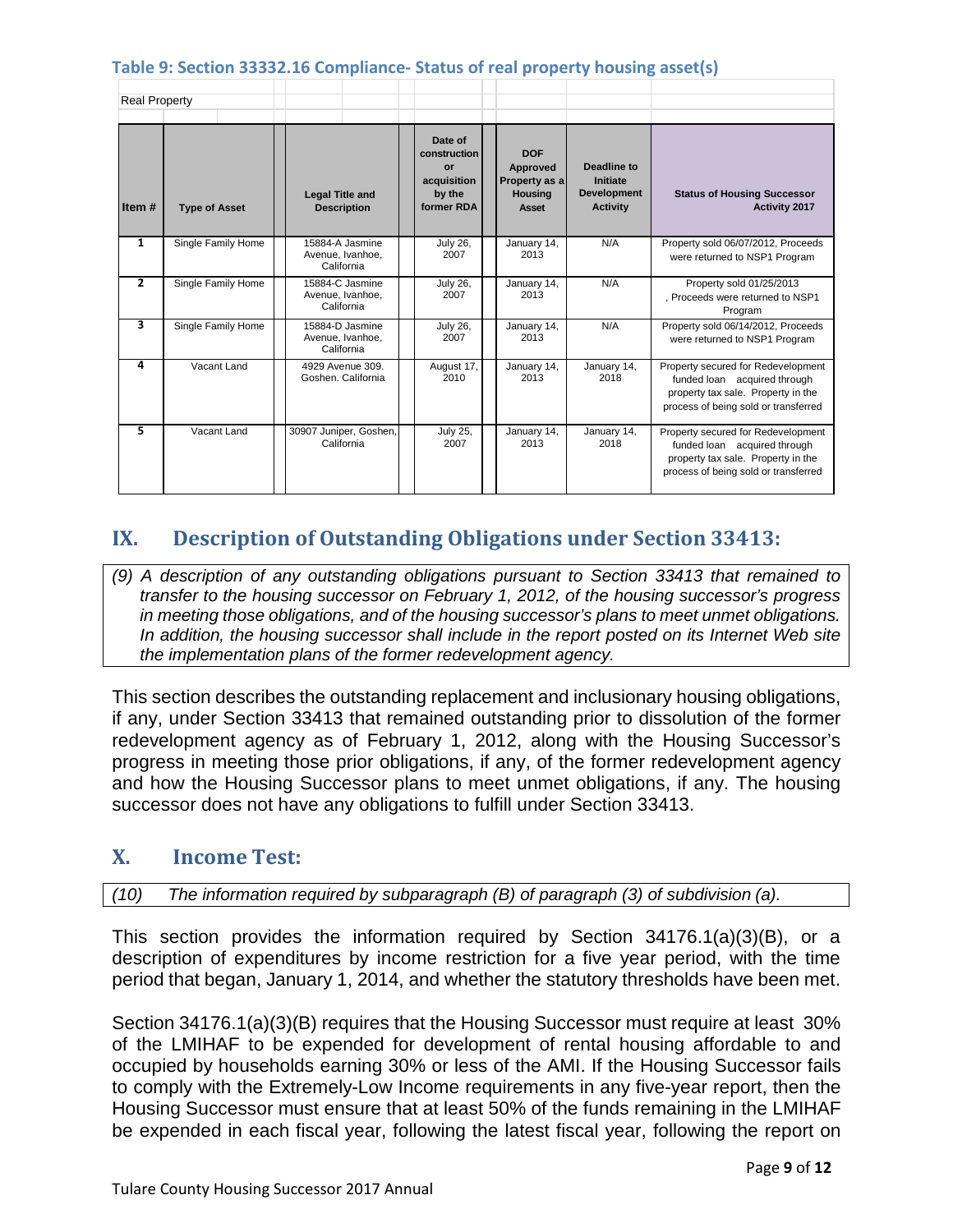#### **Table 9: Section 33332.16 Compliance- Status of real property housing asset(s)**

| <b>Real Property</b> |                      |                                                   |                                                                      |                                                                    |                                                                         |                                                                                                                                                  |
|----------------------|----------------------|---------------------------------------------------|----------------------------------------------------------------------|--------------------------------------------------------------------|-------------------------------------------------------------------------|--------------------------------------------------------------------------------------------------------------------------------------------------|
| Item#                | <b>Type of Asset</b> | <b>Legal Title and</b><br><b>Description</b>      | Date of<br>construction<br>or<br>acquisition<br>by the<br>former RDA | <b>DOF</b><br>Approved<br>Property as a<br><b>Housing</b><br>Asset | <b>Deadline to</b><br>Initiate<br><b>Development</b><br><b>Activity</b> | <b>Status of Housing Successor</b><br>Activity 2017                                                                                              |
| 1                    | Single Family Home   | 15884-A Jasmine<br>Avenue, Ivanhoe,<br>California | <b>July 26.</b><br>2007                                              | January 14,<br>2013                                                | N/A                                                                     | Property sold 06/07/2012, Proceeds<br>were returned to NSP1 Program                                                                              |
| 2                    | Single Family Home   | 15884-C Jasmine<br>Avenue, Ivanhoe,<br>California | <b>July 26,</b><br>2007                                              | January 14,<br>2013                                                | N/A                                                                     | Property sold 01/25/2013<br>, Proceeds were returned to NSP1<br>Program                                                                          |
| 3                    | Single Family Home   | 15884-D Jasmine<br>Avenue, Ivanhoe,<br>California | <b>July 26,</b><br>2007                                              | January 14,<br>2013                                                | N/A                                                                     | Property sold 06/14/2012, Proceeds<br>were returned to NSP1 Program                                                                              |
| 4                    | Vacant Land          | 4929 Avenue 309.<br>Goshen, California            | August 17,<br>2010                                                   | January 14,<br>2013                                                | January 14,<br>2018                                                     | Property secured for Redevelopment<br>funded loan acquired through<br>property tax sale. Property in the<br>process of being sold or transferred |
| 5                    | Vacant Land          | 30907 Juniper, Goshen,<br>California              | <b>July 25,</b><br>2007                                              | January 14,<br>2013                                                | January 14,<br>2018                                                     | Property secured for Redevelopment<br>funded loan acquired through<br>property tax sale. Property in the<br>process of being sold or transferred |

## <span id="page-9-0"></span>**IX. Description of Outstanding Obligations under Section 33413:**

*(9) A description of any outstanding obligations pursuant to Section 33413 that remained to transfer to the housing successor on February 1, 2012, of the housing successor's progress in meeting those obligations, and of the housing successor's plans to meet unmet obligations. In addition, the housing successor shall include in the report posted on its Internet Web site the implementation plans of the former redevelopment agency.*

This section describes the outstanding replacement and inclusionary housing obligations, if any, under Section 33413 that remained outstanding prior to dissolution of the former redevelopment agency as of February 1, 2012, along with the Housing Successor's progress in meeting those prior obligations, if any, of the former redevelopment agency and how the Housing Successor plans to meet unmet obligations, if any. The housing successor does not have any obligations to fulfill under Section 33413.

## <span id="page-9-1"></span>**X. Income Test:**

#### *(10) The information required by subparagraph (B) of paragraph (3) of subdivision (a).*

This section provides the information required by Section 34176.1(a)(3)(B), or a description of expenditures by income restriction for a five year period, with the time period that began, January 1, 2014, and whether the statutory thresholds have been met.

Section 34176.1(a)(3)(B) requires that the Housing Successor must require at least 30% of the LMIHAF to be expended for development of rental housing affordable to and occupied by households earning 30% or less of the AMI. If the Housing Successor fails to comply with the Extremely-Low Income requirements in any five-year report, then the Housing Successor must ensure that at least 50% of the funds remaining in the LMIHAF be expended in each fiscal year, following the latest fiscal year, following the report on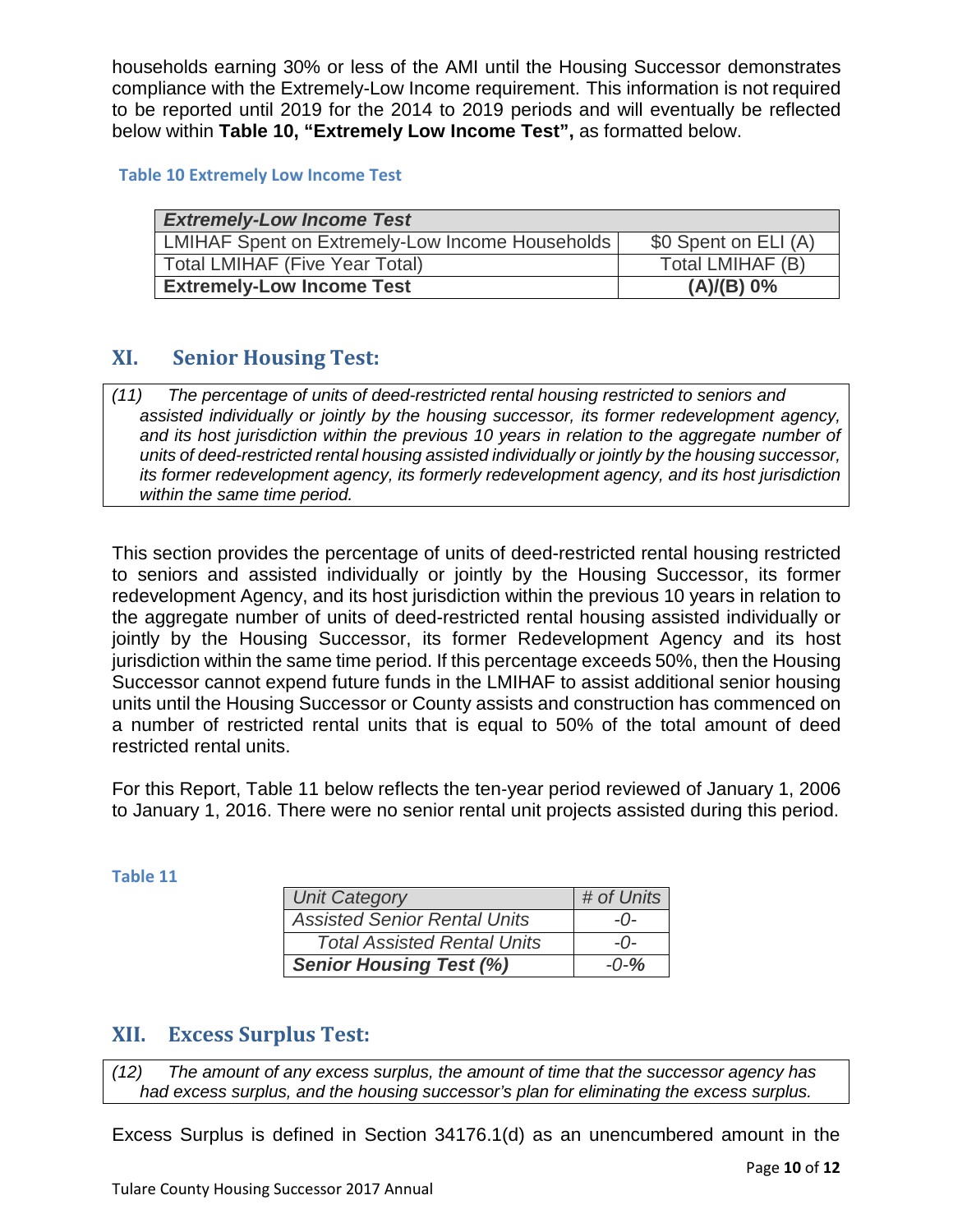households earning 30% or less of the AMI until the Housing Successor demonstrates compliance with the Extremely-Low Income requirement. This information is not required to be reported until 2019 for the 2014 to 2019 periods and will eventually be reflected below within **Table 10, "Extremely Low Income Test",** as formatted below.

#### **Table 10 Extremely Low Income Test**

| <b>Extremely-Low Income Test</b>                       |                      |  |  |  |
|--------------------------------------------------------|----------------------|--|--|--|
| <b>LMIHAF Spent on Extremely-Low Income Households</b> | \$0 Spent on ELI (A) |  |  |  |
| Total LMIHAF (Five Year Total)                         | Total LMIHAF (B)     |  |  |  |
| <b>Extremely-Low Income Test</b>                       | (A)/(B) 0%           |  |  |  |

## <span id="page-10-0"></span>**XI. Senior Housing Test:**

*assisted individually or jointly by the housing successor, its former redevelopment agency, and its host jurisdiction within the previous 10 years in relation to the aggregate number of units of deed-restricted rental housing assisted individually or jointly by the housing successor, its former redevelopment agency, its formerly redevelopment agency, and its host jurisdiction within the same time period. (11) The percentage of units of deed-restricted rental housing restricted to seniors and*

This section provides the percentage of units of deed-restricted rental housing restricted to seniors and assisted individually or jointly by the Housing Successor, its former redevelopment Agency, and its host jurisdiction within the previous 10 years in relation to the aggregate number of units of deed-restricted rental housing assisted individually or jointly by the Housing Successor, its former Redevelopment Agency and its host jurisdiction within the same time period. If this percentage exceeds 50%, then the Housing Successor cannot expend future funds in the LMIHAF to assist additional senior housing units until the Housing Successor or County assists and construction has commenced on a number of restricted rental units that is equal to 50% of the total amount of deed restricted rental units.

For this Report, Table 11 below reflects the ten‐year period reviewed of January 1, 2006 to January 1, 2016. There were no senior rental unit projects assisted during this period.

#### **Table 11**

| <b>Unit Category</b>                | # of Units |
|-------------------------------------|------------|
| <b>Assisted Senior Rental Units</b> | $-()$      |
| <b>Total Assisted Rental Units</b>  | $-0-$      |
| <b>Senior Housing Test (%)</b>      | $-0-%$     |

## <span id="page-10-1"></span>**XII. Excess Surplus Test:**

*had excess surplus, and the housing successor's plan for eliminating the excess surplus. (12) The amount of any excess surplus, the amount of time that the successor agency has*

Excess Surplus is defined in Section 34176.1(d) as an unencumbered amount in the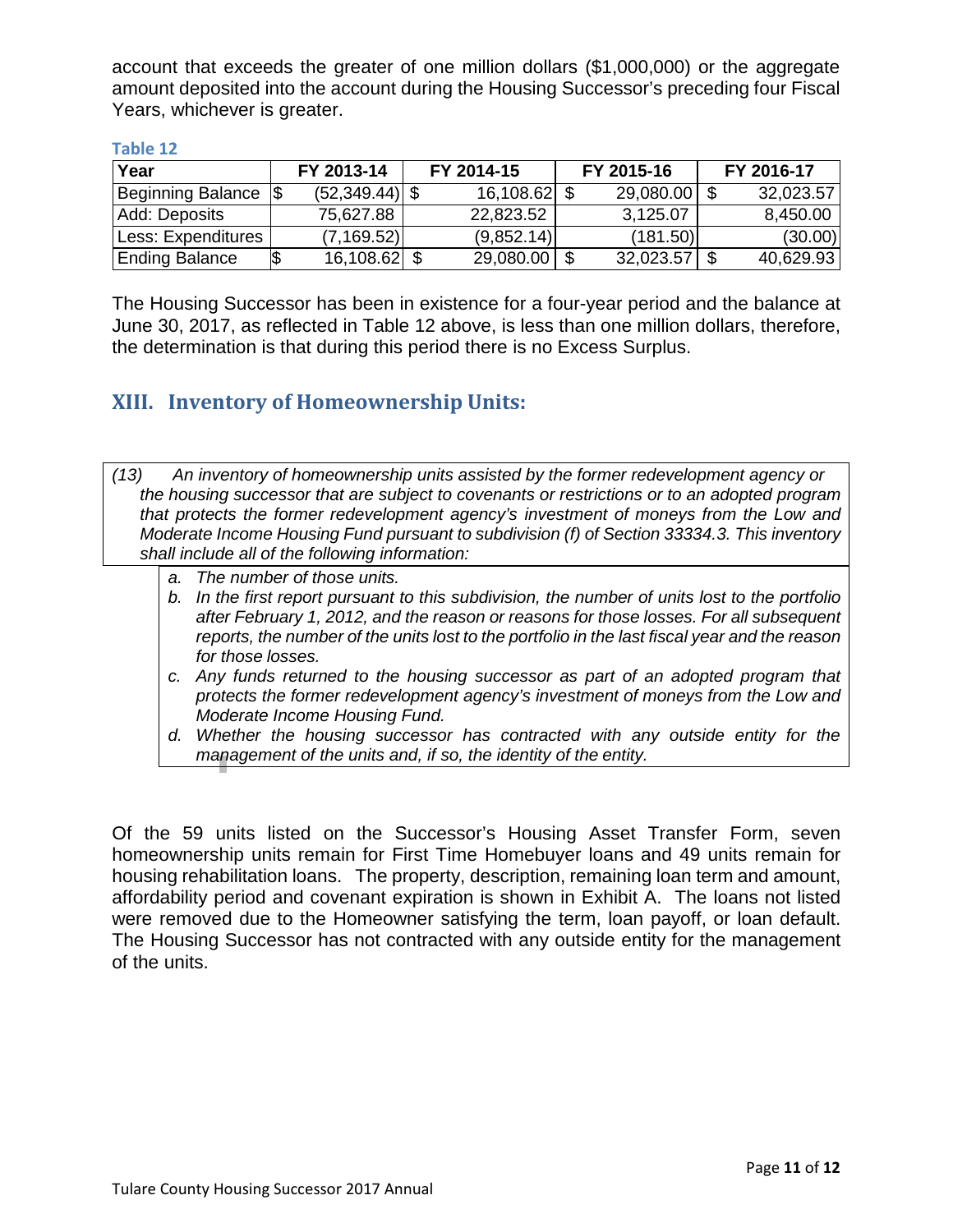account that exceeds the greater of one million dollars (\$1,000,000) or the aggregate amount deposited into the account during the Housing Successor's preceding four Fiscal Years, whichever is greater.

| Year                     |  | FY 2013-14       | FY 2014-15   | FY 2015-16 |  | FY 2016-17 |  |
|--------------------------|--|------------------|--------------|------------|--|------------|--|
| <b>Beginning Balance</b> |  | $(52,349.44)$ \$ | 16,108.62 \$ | 29,080.00  |  | 32,023.57  |  |
| Add: Deposits            |  | 75,627.88        | 22,823.52    | 3,125.07   |  | 8,450.00   |  |
| Less: Expenditures       |  | (7, 169.52)      | (9,852.14)   | (181.50)   |  | (30.00)    |  |
| <b>Ending Balance</b>    |  | $16,108.62$ \$   | 29,080.00    | 32,023.57  |  | 40,629.93  |  |

#### **Table 12**

The Housing Successor has been in existence for a four-year period and the balance at June 30, 2017, as reflected in Table 12 above, is less than one million dollars, therefore, the determination is that during this period there is no Excess Surplus.

## <span id="page-11-0"></span>**XIII. Inventory of Homeownership Units:**

- *the housing successor that are subject to covenants or restrictions or to an adopted program that protects the former redevelopment agency's investment of moneys from the Low and Moderate Income Housing Fund pursuant to subdivision (f) of Section 33334.3. This inventory shall include all of the following information: (13) An inventory of homeownership units assisted by the former redevelopment agency or*
	- *a. The number of those units.*
	- *b. In the first report pursuant to this subdivision, the number of units lost to the portfolio after February 1, 2012, and the reason or reasons for those losses. For all subsequent reports, the number of the units lost to the portfolio in the last fiscal year and the reason for those losses.*
	- *c. Any funds returned to the housing successor as part of an adopted program that protects the former redevelopment agency's investment of moneys from the Low and Moderate Income Housing Fund.*
	- *d. Whether the housing successor has contracted with any outside entity for the management of the units and, if so, the identity of the entity.*

Of the 59 units listed on the Successor's Housing Asset Transfer Form, seven homeownership units remain for First Time Homebuyer loans and 49 units remain for housing rehabilitation loans. The property, description, remaining loan term and amount, affordability period and covenant expiration is shown in Exhibit A. The loans not listed were removed due to the Homeowner satisfying the term, loan payoff, or loan default. The Housing Successor has not contracted with any outside entity for the management of the units.